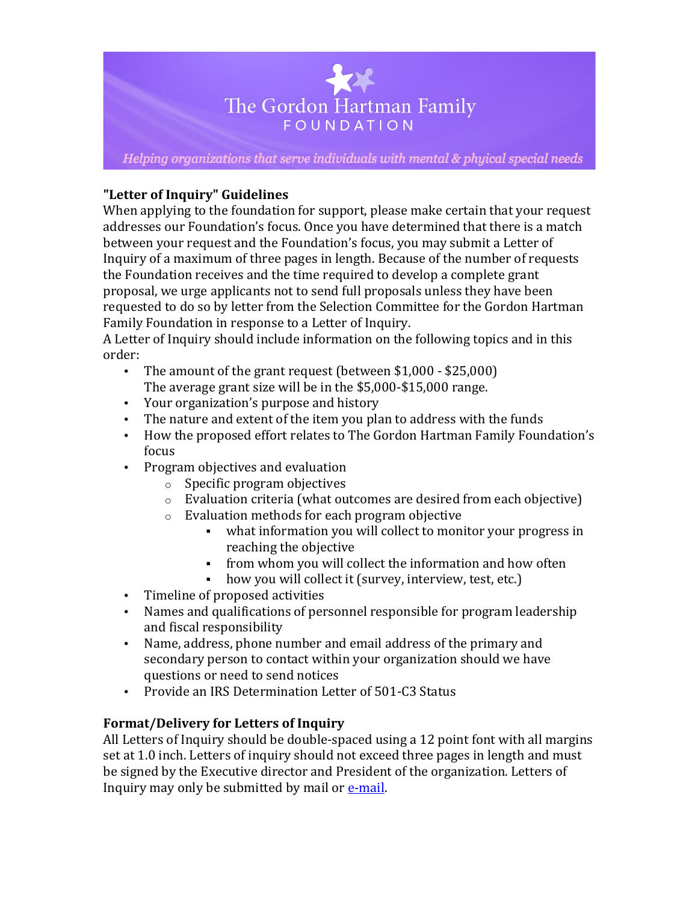

Helping organizations that serve individuals with mental & phyical special needs

## **"Letter of Inquiry" Guidelines**

When applying to the foundation for support, please make certain that your request addresses our Foundation's focus. Once you have determined that there is a match between your request and the Foundation's focus, you may submit a Letter of Inquiry of a maximum of three pages in length. Because of the number of requests the Foundation receives and the time required to develop a complete grant proposal, we urge applicants not to send full proposals unless they have been requested to do so by letter from the Selection Committee for the Gordon Hartman Family Foundation in response to a Letter of Inquiry.

A Letter of Inquiry should include information on the following topics and in this order:

- The amount of the grant request (between  $$1,000 $25,000$ ) The average grant size will be in the  $$5,000$ - $$15,000$  range.
- Your organization's purpose and history
- The nature and extent of the item you plan to address with the funds
- How the proposed effort relates to The Gordon Hartman Family Foundation's focus
- Program objectives and evaluation
	- $\circ$  Specific program objectives
	- $\circ$  Evaluation criteria (what outcomes are desired from each objective)
	- $\circ$  Evaluation methods for each program objective
		- what information you will collect to monitor your progress in reaching the objective
		- from whom you will collect the information and how often
		- how you will collect it (survey, interview, test, etc.)
- Timeline of proposed activities
- Names and qualifications of personnel responsible for program leadership and fiscal responsibility
- Name, address, phone number and email address of the primary and secondary person to contact within your organization should we have questions or need to send notices
- Provide an IRS Determination Letter of 501-C3 Status

# **Format/Delivery for Letters of Inquiry**

All Letters of Inquiry should be double-spaced using a 12 point font with all margins set at 1.0 inch. Letters of inquiry should not exceed three pages in length and must be signed by the Executive director and President of the organization. Letters of Inquiry may only be submitted by mail or  $e$ -mail.